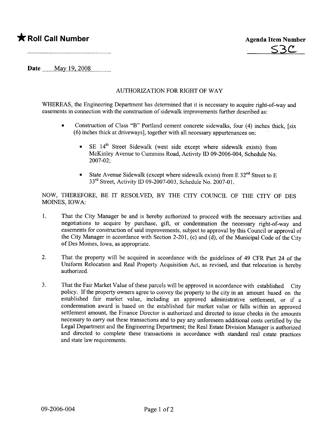## \* Roll Call Number Agenda Item Number



Date  $_{\text{May 19, 2008}}$ 

## AUTHORIZATION FOR RIGHT OF WAY

WHEREAS, the Engineering Department has determined that it is necessary to acquire right-of-way and easements in connection with the construction of sidewalk improvements further described as:

- Construction of Class "B" Portland cement concrete sidewalks, four (4) inches thick, [six (6) inches thick at driveways), together with all necessary appurenances on:
	- SE 14<sup>th</sup> Street Sidewalk (west side except where sidewalk exists) from McKinley Avenue to Cummins Road, Activity ID 09-2006-004, Schedule No. 2007-02;
	- State Avenue Sidewalk (except where sidewalk exists) from E  $32<sup>nd</sup>$  Street to E 33<sup>rd</sup> Street, Activity ID 09-2007-003, Schedule No. 2007-01.

NOW, THEREFORE, BE IT RESOLVED, BY THE CITY COUNCIL OF THE CITY OF DES MOINS, IOWA:

- 1. That the City Manager be and is hereby authorized to proceed with the necessary activities and negotiations to acquire by purchase, gift, or condemnation the necessary right-of-way and easements for construction of said improvements, subject to approval by this Council or approval of the City Manager in accordance with Section 2-201, (c) and (d), of the Municipal Code of the City of Des Moines, Iowa, as appropriate.
- 2. That the property will be acquired in accordance with the guidelines of 49 CFR Part 24 of the Uniform Relocation and Real Property Acquisition Act, as revised, and that relocation is hereby authorized.
- 3. That the Fair Market Value of these parcels will be approved in accordance with established City policy. If the property owners agree to convey the property to the city in an amount based on the established fair market value, including an approved administrative settlement, or if a condemnation award is based on the established fair market value or falls within an approved settlement amount, the Finance Director is authorized and directed to issue checks in the amounts necessary to carry out these transactions and to pay any unforeseen additional costs certified by the Legal Department and the Engineering Department; the Real Estate Division Manager is authorized and directed to complete these transactions in accordance with standard real estate practices and state law requirements.